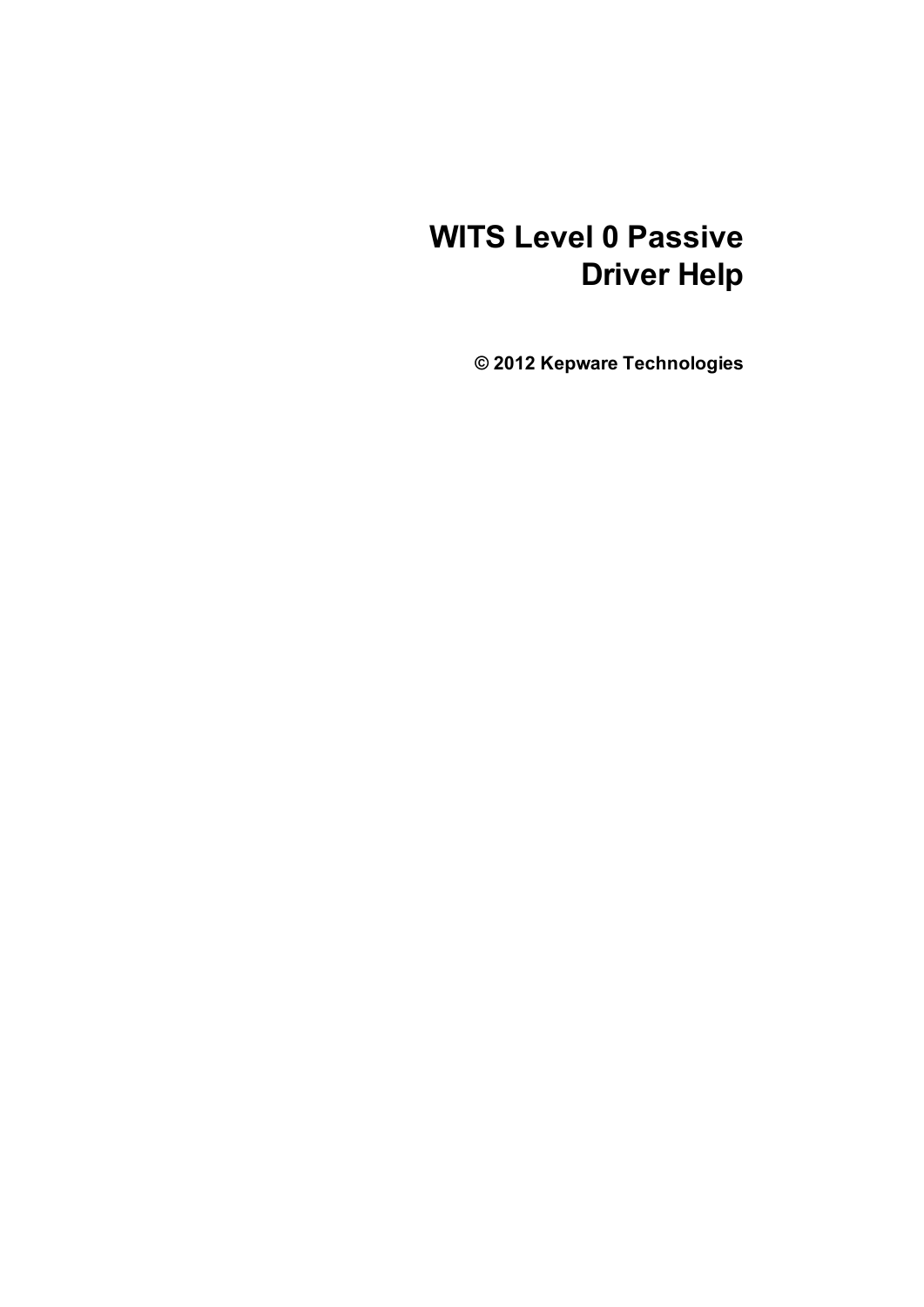# **WITS Level 0 Passive Driver Help**

**© 2012 Kepware Technologies**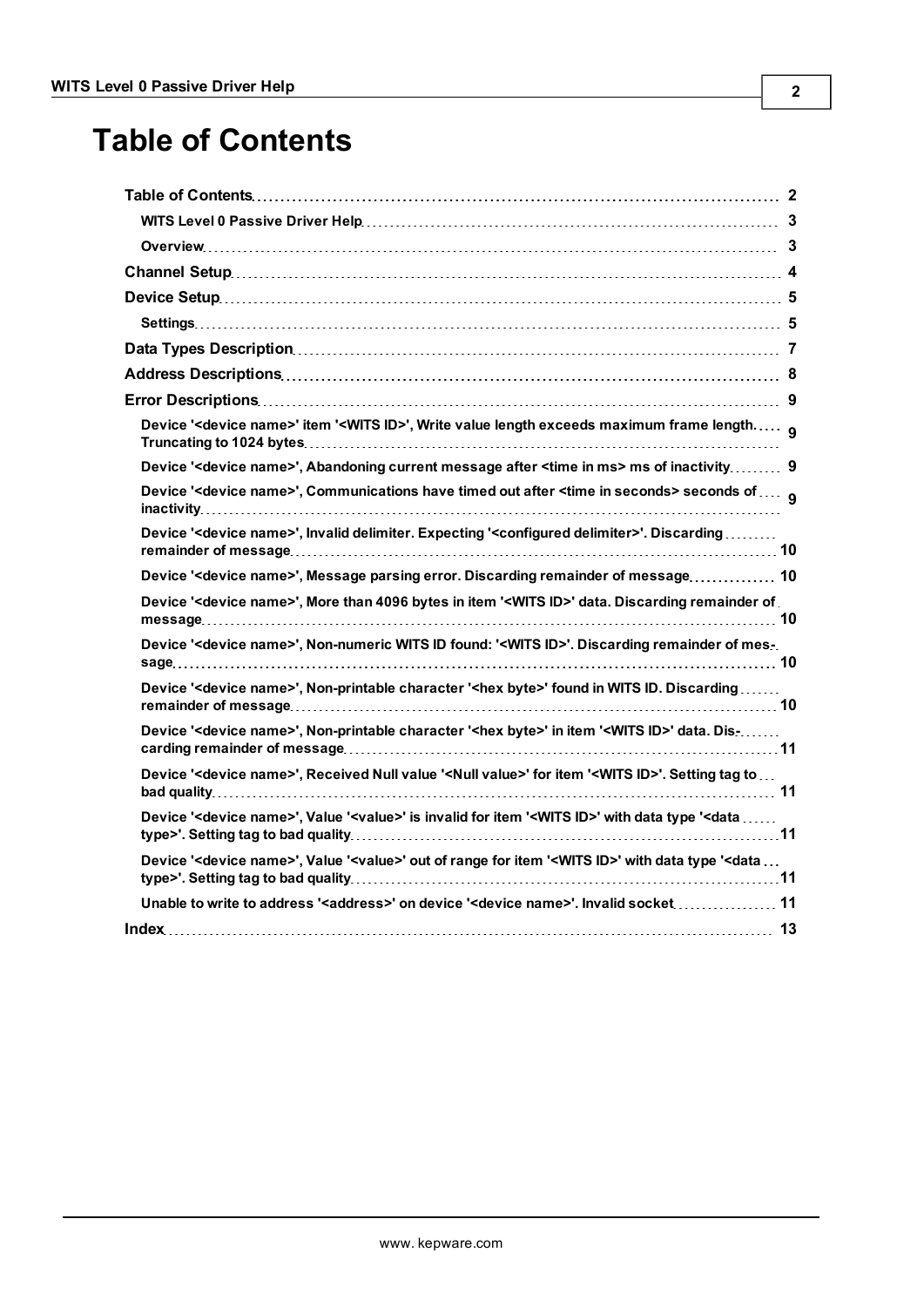# <span id="page-1-0"></span>**Table of Contents**

| Device ' <device name="">' item '<wits id="">', Write value length exceeds maximum frame length g</wits></device>                                          |  |
|------------------------------------------------------------------------------------------------------------------------------------------------------------|--|
| Device ' <device name="">', Abandoning current message after <time in="" ms=""> ms of inactivity 9</time></device>                                         |  |
| Device ' <device name="">', Communications have timed out after <time in="" seconds=""> seconds of  q</time></device>                                      |  |
| Device ' <device name="">', Invalid delimiter. Expecting '<configured delimiter="">'. Discarding</configured></device>                                     |  |
| Device ' <device name="">', Message parsing error. Discarding remainder of message 10</device>                                                             |  |
| Device ' <device name="">', More than 4096 bytes in item '<wits id="">' data. Discarding remainder of .</wits></device>                                    |  |
| Device ' <device name="">', Non-numeric WITS ID found: '<wits id="">'. Discarding remainder of mes-.</wits></device>                                       |  |
| Device ' <device name="">', Non-printable character '<hex byte="">' found in WITS ID. Discarding</hex></device>                                            |  |
| Device ' <device name="">', Non-printable character '<hex byte="">' in item '<wits id="">' data. Dis-</wits></hex></device>                                |  |
| Device ' <device name="">', Received Null value '<null value="">' for item '<wits id="">'. Setting tag to</wits></null></device>                           |  |
| Device ' <device name="">', Value '<value>' is invalid for item '<wits id="">' with data type '<data <="" td=""><td></td></data></wits></value></device>   |  |
| Device ' <device name="">', Value '<value>' out of range for item '<wits id="">' with data type '<data <="" td=""><td></td></data></wits></value></device> |  |
| Unable to write to address ' <address>' on device '<device name="">'. Invalid socket 11</device></address>                                                 |  |
|                                                                                                                                                            |  |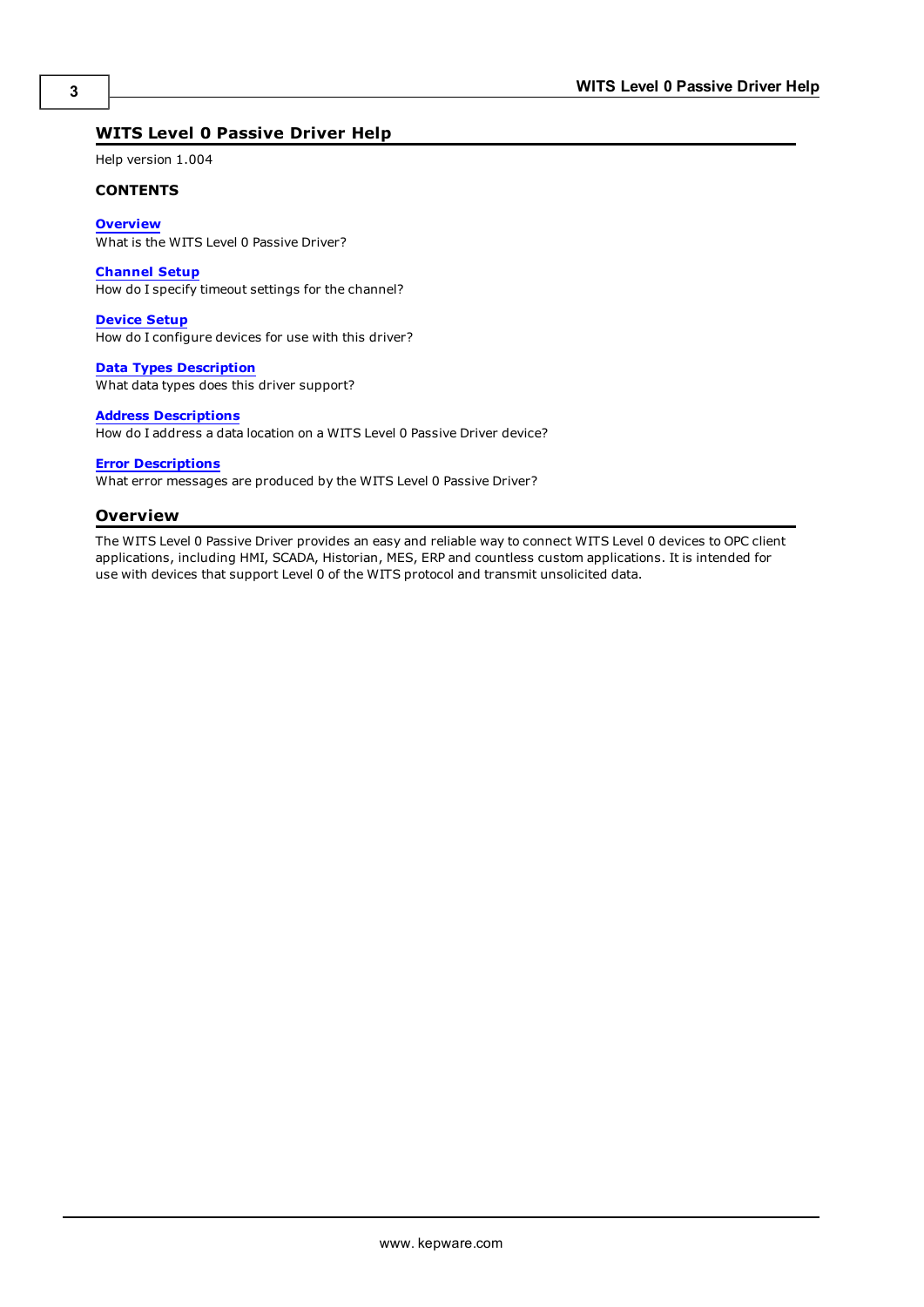# <span id="page-2-0"></span>**WITS Level 0 Passive Driver Help**

Help version 1.004

#### **CONTENTS**

**[Overview](#page-2-1)** What is the WITS Level 0 Passive Driver?

**[Channel](#page-3-0) [Setup](#page-3-0)** How do I specify timeout settings for the channel?

**[Device](#page-4-0) [Setup](#page-4-0)** How do I configure devices for use with this driver?

**[Data](#page-6-0) [Types](#page-6-0) [Description](#page-6-0)** What data types does this driver support?

#### **[Address](#page-7-0) [Descriptions](#page-7-0)**

How do I address a data location on a WITS Level 0 Passive Driver device?

#### **[Error](#page-8-0) [Descriptions](#page-8-0)**

<span id="page-2-1"></span>What error messages are produced by the WITS Level 0 Passive Driver?

#### **Overview**

The WITS Level 0 Passive Driver provides an easy and reliable way to connect WITS Level 0 devices to OPC client applications, including HMI, SCADA, Historian, MES, ERP and countless custom applications. It is intended for use with devices that support Level 0 of the WITS protocol and transmit unsolicited data.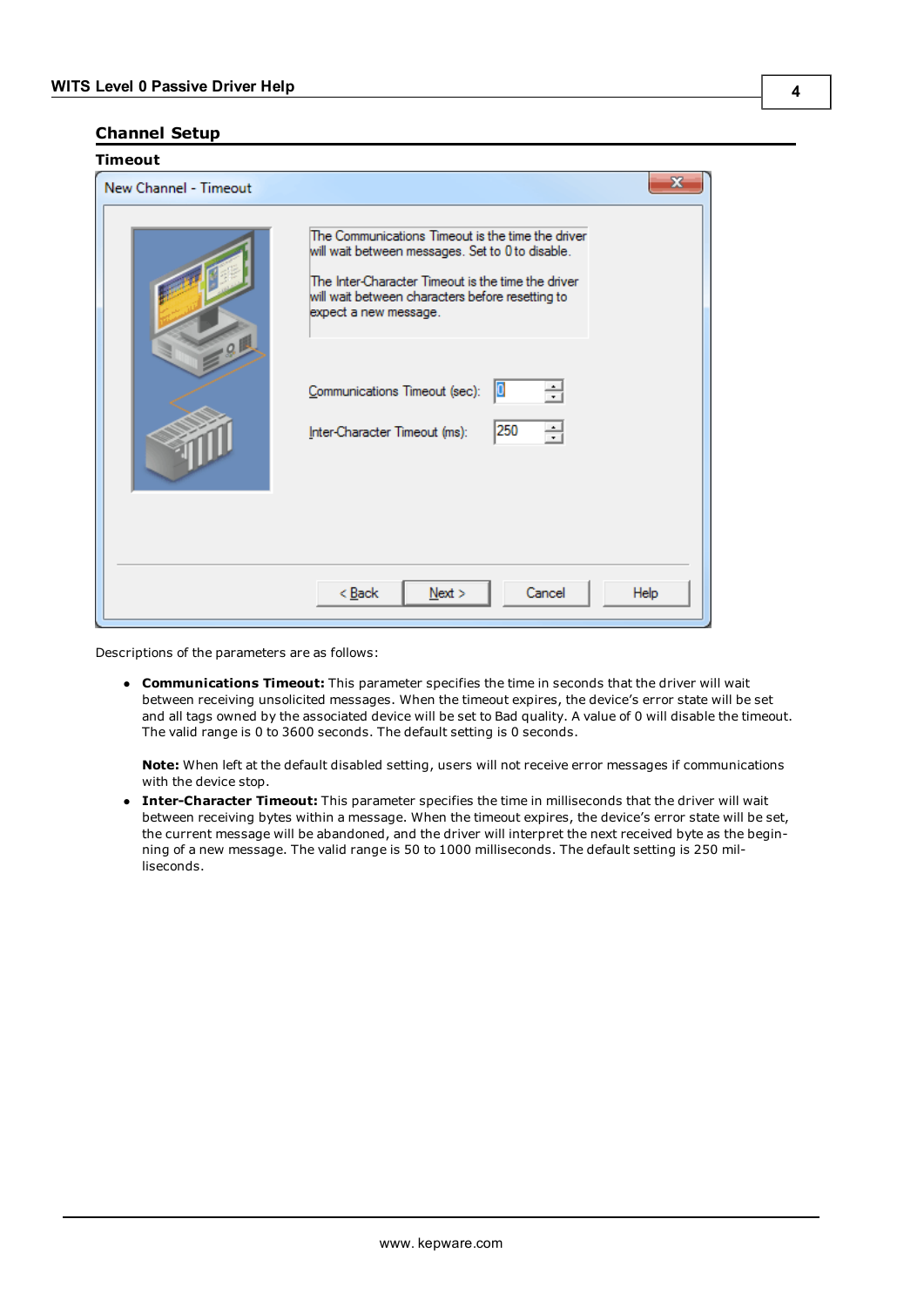# <span id="page-3-0"></span>**Channel Setup**

| Timeout               |                                                                                                                                                                                                                                          |
|-----------------------|------------------------------------------------------------------------------------------------------------------------------------------------------------------------------------------------------------------------------------------|
| New Channel - Timeout | x                                                                                                                                                                                                                                        |
| .0                    | The Communications Timeout is the time the driver<br>will wait between messages. Set to 0 to disable.<br>The Inter-Character Timeout is the time the driver<br>will wait between characters before resetting to<br>expect a new message. |
|                       | Communications Timeout (sec):<br>늮<br>10<br>250<br>싂<br>Inter-Character Timeout (ms):                                                                                                                                                    |
|                       | Cancel<br>$<$ Back<br>Help<br>Next                                                                                                                                                                                                       |

Descriptions of the parameters are as follows:

**• Communications Timeout:** This parameter specifies the time in seconds that the driver will wait between receiving unsolicited messages. When the timeout expires, the device's error state will be set and all tags owned by the associated device will be set to Bad quality. A value of 0 will disable the timeout. The valid range is 0 to 3600 seconds. The default setting is 0 seconds.

**Note:** When left at the default disabled setting, users will not receive error messages if communications with the device stop.

**Inter-Character Timeout:** This parameter specifies the time in milliseconds that the driver will wait between receiving bytes within a message. When the timeout expires, the device's error state will be set, the current message will be abandoned, and the driver will interpret the next received byte as the beginning of a new message. The valid range is 50 to 1000 milliseconds. The default setting is 250 milliseconds.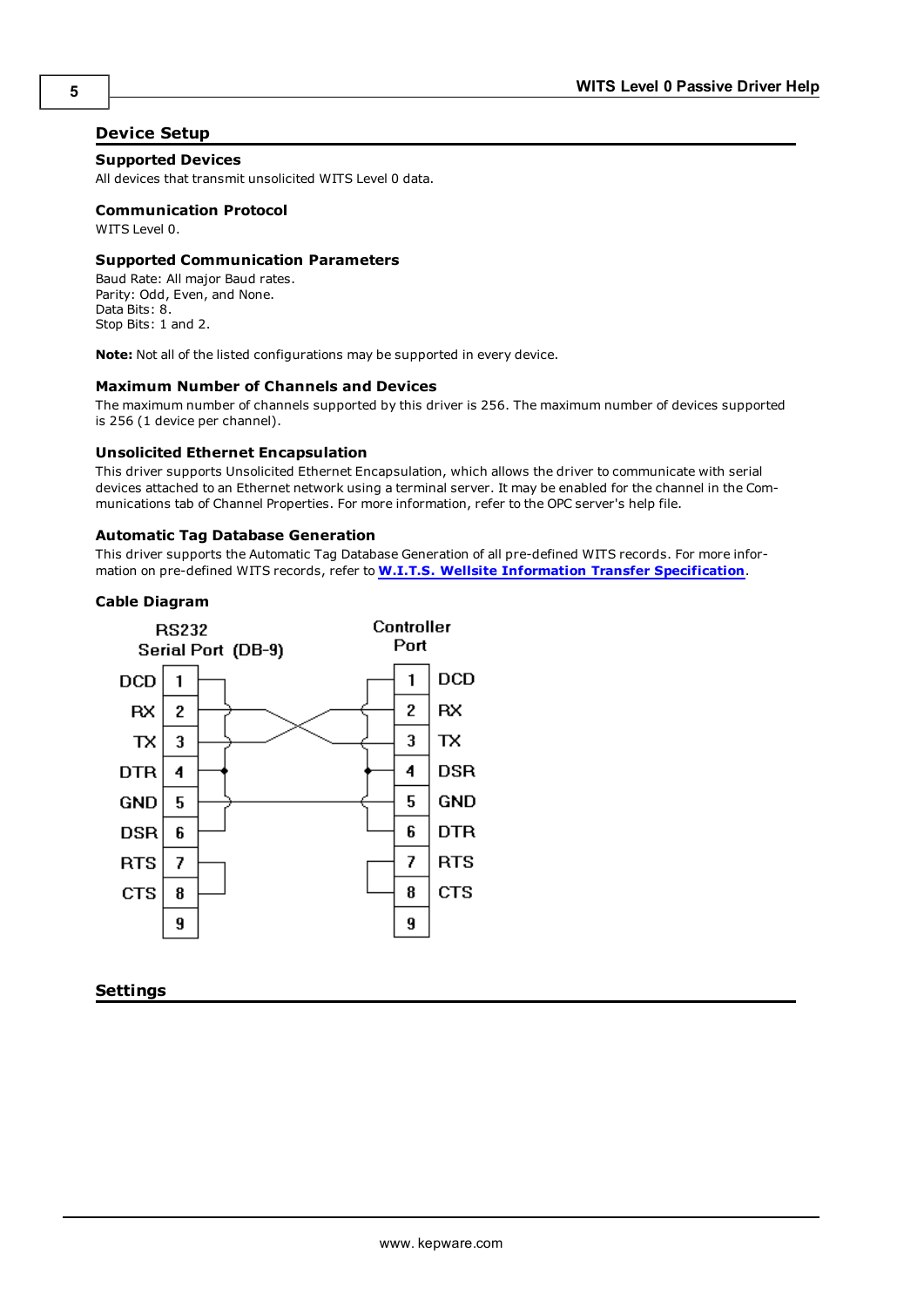# <span id="page-4-0"></span>**Device Setup**

# **Supported Devices**

All devices that transmit unsolicited WITS Level 0 data.

# **Communication Protocol**

WITS Level 0.

#### **Supported Communication Parameters**

Baud Rate: All major Baud rates. Parity: Odd, Even, and None. Data Bits: 8. Stop Bits: 1 and 2.

**Note:** Not all of the listed configurations may be supported in every device.

#### **Maximum Number of Channels and Devices**

The maximum number of channels supported by this driver is 256. The maximum number of devices supported is 256 (1 device per channel).

#### **Unsolicited Ethernet Encapsulation**

This driver supports Unsolicited Ethernet Encapsulation, which allows the driver to communicate with serial devices attached to an Ethernet network using a terminal server. It may be enabled for the channel in the Communications tab of Channel Properties. For more information, refer to the OPC server's help file.

#### **Automatic Tag Database Generation**

This driver supports the Automatic Tag Database Generation of all pre-defined WITS records. For more information on pre-defined WITS records, refer to **[W.I.T.S.](http://home.sprynet.com/~carob/) [Wellsite](http://home.sprynet.com/~carob/) [Information](http://home.sprynet.com/~carob/) [Transfer](http://home.sprynet.com/~carob/) [Specification](http://home.sprynet.com/~carob/)**.

## **Cable Diagram**



#### <span id="page-4-1"></span>**Settings**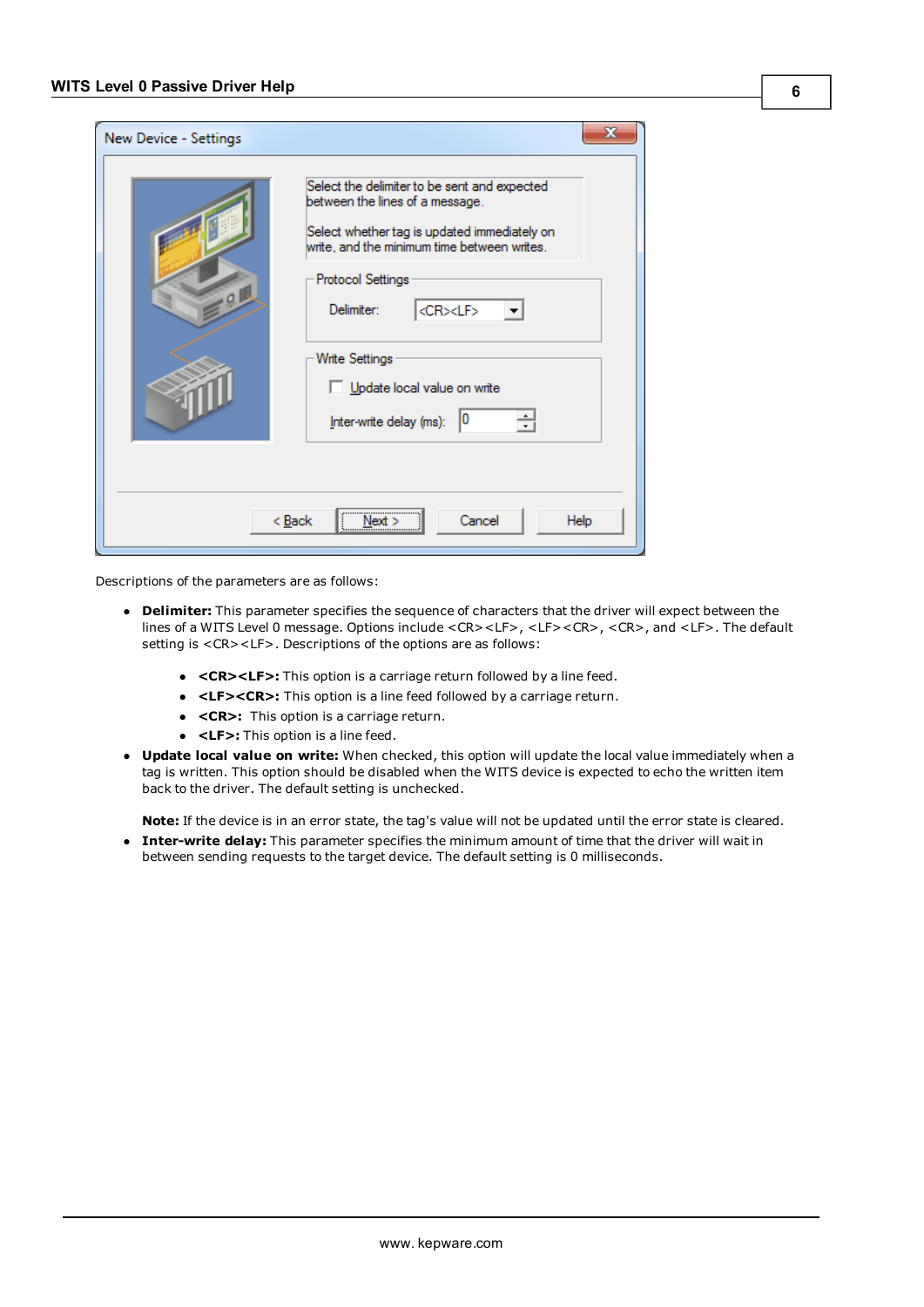| New Device - Settings |                                                                                                                                                                                                                                                                                                                                      |
|-----------------------|--------------------------------------------------------------------------------------------------------------------------------------------------------------------------------------------------------------------------------------------------------------------------------------------------------------------------------------|
| $-9$                  | Select the delimiter to be sent and expected<br>between the lines of a message.<br>Select whether tag is updated immediately on<br>write, and the minimum time between writes.<br>Protocol Settings<br><cr><lf><br/>Delimiter:<br/>Write Settings<br/>Update local value on write<br/>싂<br/>10<br/>Inter-write delay (ms):</lf></cr> |
|                       | <br>Cancel<br>< <u>B</u> ack<br>Help<br>Next >                                                                                                                                                                                                                                                                                       |

Descriptions of the parameters are as follows:

- **Delimiter:** This parameter specifies the sequence of characters that the driver will expect between the lines of a WITS Level 0 message. Options include <CR><LF>, <LF><CR>, <CR>, and <LF>. The default setting is <CR><LF>. Descriptions of the options are as follows:
	- **<CR><LF>:** This option is a carriage return followed by a line feed.
	- **·** <LF><CR>: This option is a line feed followed by a carriage return.
	- **<CR>:** This option is a carriage return.
	- **c** <LF>: This option is a line feed.
- **· Update local value on write:** When checked, this option will update the local value immediately when a tag is written. This option should be disabled when the WITS device is expected to echo the written item back to the driver. The default setting is unchecked.

**Note:** If the device is in an error state, the tag's value will not be updated until the error state is cleared.

**Inter-write delay:** This parameter specifies the minimum amount of time that the driver will wait in between sending requests to the target device. The default setting is 0 milliseconds.

**6**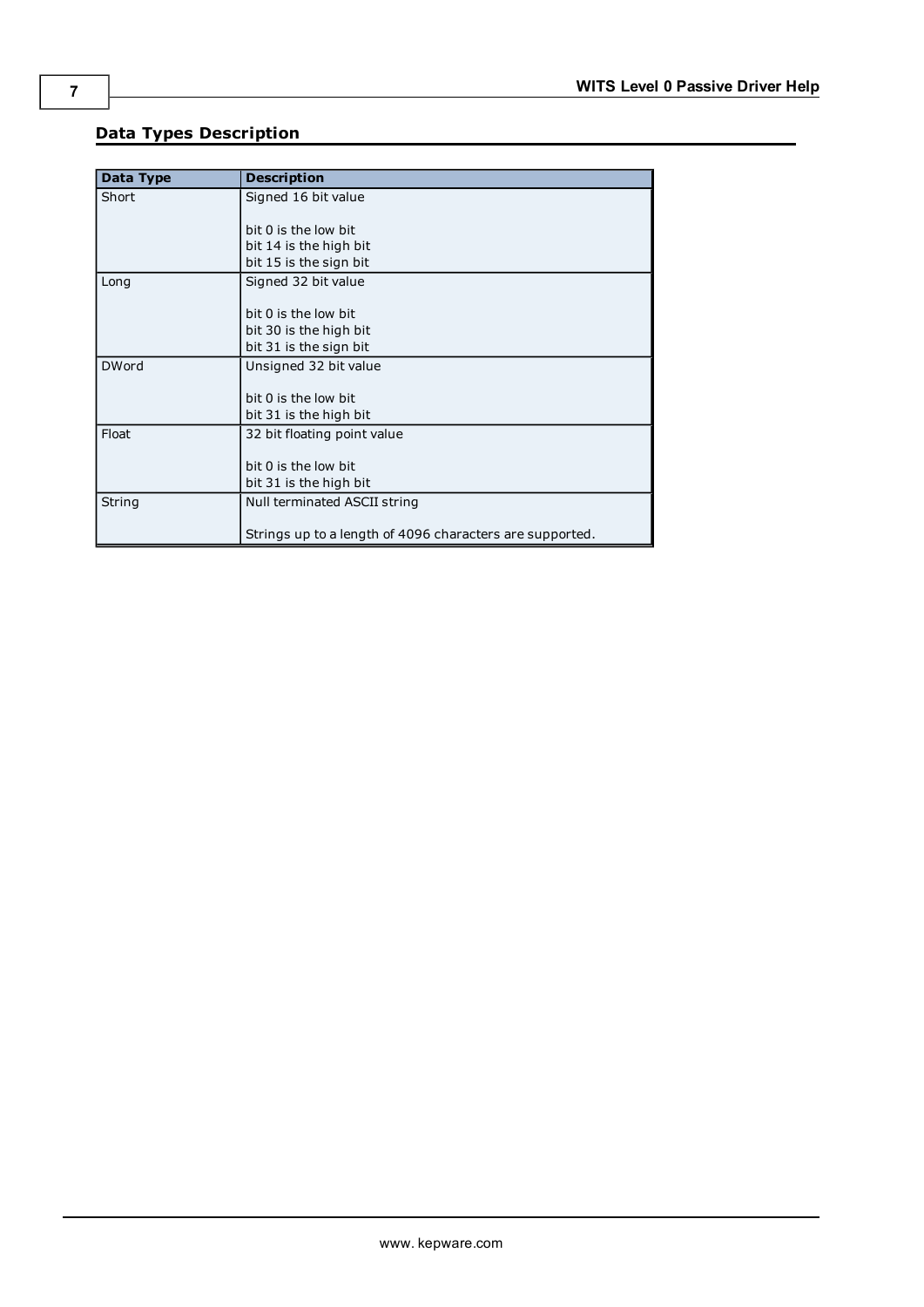| Data Type    | <b>Description</b>                                       |
|--------------|----------------------------------------------------------|
| Short        | Signed 16 bit value                                      |
|              |                                                          |
|              | bit 0 is the low bit                                     |
|              | bit 14 is the high bit                                   |
|              | bit 15 is the sign bit                                   |
| Long         | Signed 32 bit value                                      |
|              |                                                          |
|              | bit 0 is the low bit                                     |
|              | bit 30 is the high bit                                   |
|              | bit 31 is the sign bit                                   |
| <b>DWord</b> | Unsigned 32 bit value                                    |
|              |                                                          |
|              | bit 0 is the low bit                                     |
|              | bit 31 is the high bit                                   |
| Float        | 32 bit floating point value                              |
|              |                                                          |
|              | bit 0 is the low bit                                     |
|              | bit 31 is the high bit                                   |
| String       | Null terminated ASCII string                             |
|              |                                                          |
|              | Strings up to a length of 4096 characters are supported. |

# <span id="page-6-0"></span>**Data Types Description**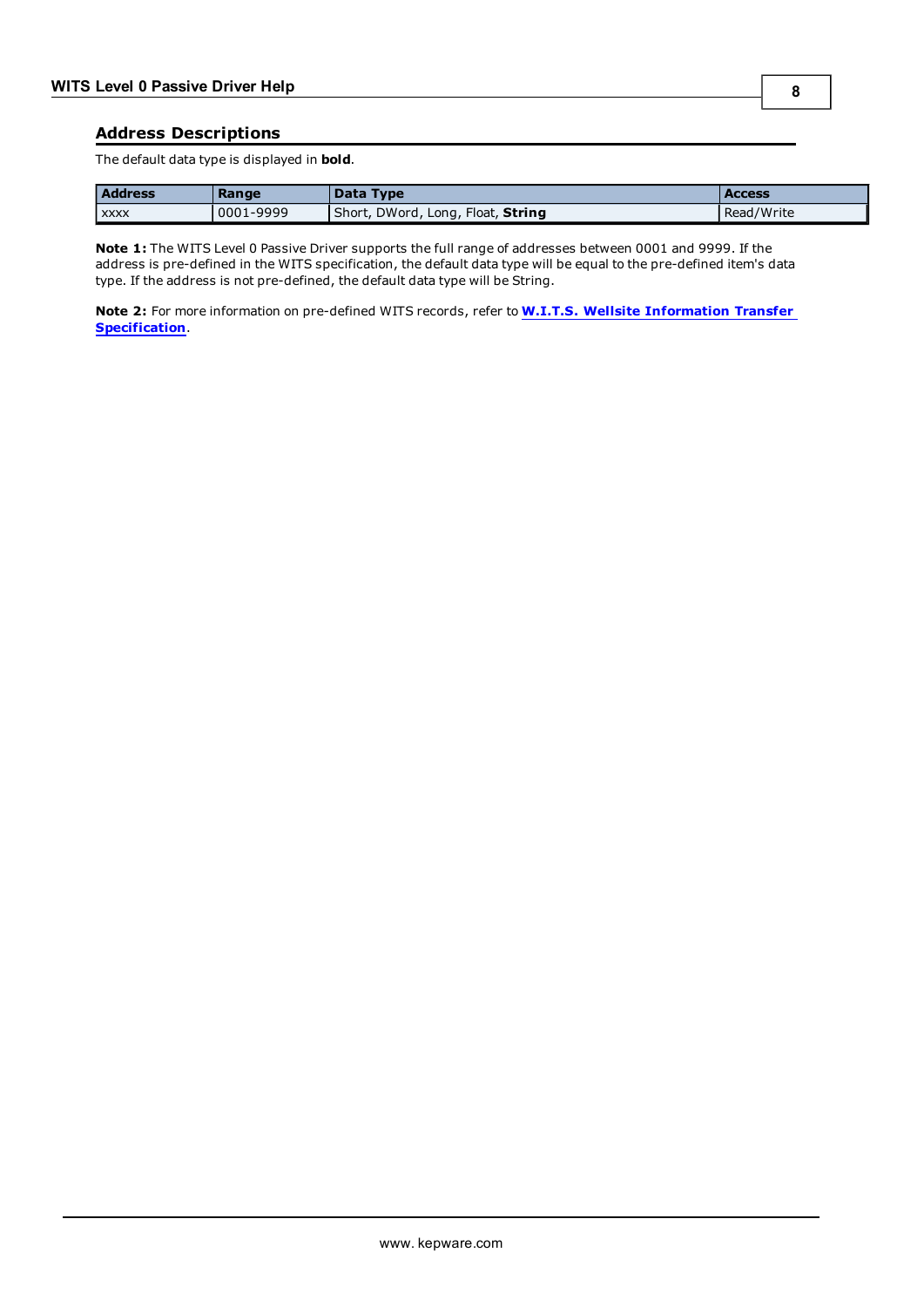#### <span id="page-7-0"></span>**Address Descriptions**

The default data type is displayed in **bold**.

| <b>Address</b> | Range     | Data Type                         | <b>Access</b> |
|----------------|-----------|-----------------------------------|---------------|
| XXXX           | 0001-9999 | Short, DWord, Long, Float, String | Read/Write    |

**Note 1:** The WITS Level 0 Passive Driver supports the full range of addresses between 0001 and 9999. If the address is pre-defined in the WITS specification, the default data type will be equal to the pre-defined item's data type. If the address is not pre-defined, the default data type will be String.

**Note 2:** For more information on pre-defined WITS records, refer to **[W.I.T.S.](http://home.sprynet.com/~carob/) [Wellsite](http://home.sprynet.com/~carob/) [Information](http://home.sprynet.com/~carob/) [Transfer](http://home.sprynet.com/~carob/) [Specification](http://home.sprynet.com/~carob/)**.

**8**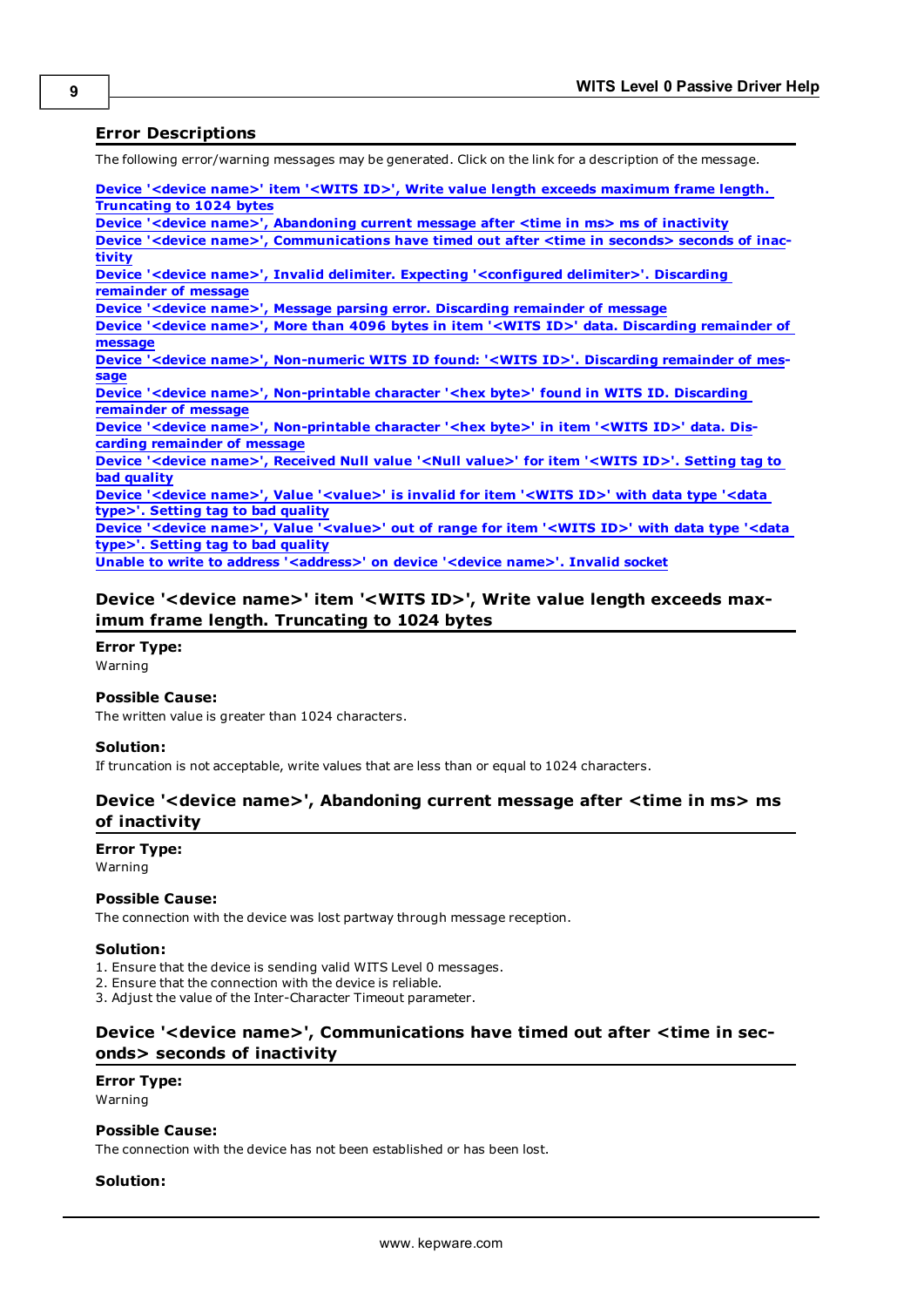## <span id="page-8-0"></span>**Error Descriptions**

The following error/warning messages may be generated. Click on the link for a description of the message.

**[Device](#page-8-1) ['<device](#page-8-1) [name>'](#page-8-1) [item](#page-8-1) ['<WITS](#page-8-1) [ID>',](#page-8-1) [Write](#page-8-1) [value](#page-8-1) [length](#page-8-1) [exceeds](#page-8-1) [maximum](#page-8-1) [frame](#page-8-1) [length.](#page-8-1) [Truncating](#page-8-1) [to](#page-8-1) [1024](#page-8-1) [bytes](#page-8-1) [Device](#page-8-2) ['<device](#page-8-2) [name>',](#page-8-2) [Abandoning](#page-8-2) [current](#page-8-2) [message](#page-8-2) [after](#page-8-2) [<time](#page-8-2) [in](#page-8-2) [ms>](#page-8-2) [ms](#page-8-2) [of](#page-8-2) [inactivity](#page-8-2) [Device](#page-8-3) ['<device](#page-8-3) [name>',](#page-8-3) [Communications](#page-8-3) [have](#page-8-3) [timed](#page-8-3) [out](#page-8-3) [after](#page-8-3) [<time](#page-8-3) [in](#page-8-3) [seconds>](#page-8-3) [seconds](#page-8-3) [of](#page-8-3) [inac](#page-8-3)[tivity](#page-8-3) [Device](#page-9-0) ['<device](#page-9-0) [name>',](#page-9-0) [Invalid](#page-9-0) [delimiter.](#page-9-0) [Expecting](#page-9-0) ['<configured](#page-9-0) [delimiter>'.](#page-9-0) [Discarding](#page-9-0) [remainder](#page-9-0) [of](#page-9-0) [message](#page-9-0) [Device](#page-9-1) ['<device](#page-9-1) [name>',](#page-9-1) [Message](#page-9-1) [parsing](#page-9-1) [error.](#page-9-1) [Discarding](#page-9-1) [remainder](#page-9-1) [of](#page-9-1) [message](#page-9-1) [Device](#page-9-2) ['<device](#page-9-2) [name>',](#page-9-2) [More](#page-9-2) [than](#page-9-2) [4096](#page-9-2) [bytes](#page-9-2) [in](#page-9-2) [item](#page-9-2) ['<WITS](#page-9-2) [ID>'](#page-9-2) [data.](#page-9-2) [Discarding](#page-9-2) [remainder](#page-9-2) [of](#page-9-2) [message](#page-9-2) [Device](#page-9-3) ['<device](#page-9-3) [name>',](#page-9-3) [Non-numeric](#page-9-3) [WITS](#page-9-3) [ID](#page-9-3) [found:](#page-9-3) ['<WITS](#page-9-3) [ID>'.](#page-9-3) [Discarding](#page-9-3) [remainder](#page-9-3) [of](#page-9-3) [mes](#page-9-3)[sage](#page-9-3) [Device](#page-9-4) ['<device](#page-9-4) [name>',](#page-9-4) [Non-printable](#page-9-4) [character](#page-9-4) ['<hex](#page-9-4) [byte>'](#page-9-4) [found](#page-9-4) [in](#page-9-4) [WITS](#page-9-4) [ID.](#page-9-4) [Discarding](#page-9-4) [remainder](#page-9-4) [of](#page-9-4) [message](#page-9-4) [Device](#page-10-0) ['<device](#page-10-0) [name>',](#page-10-0) [Non-printable](#page-10-0) [character](#page-10-0) ['<hex](#page-10-0) [byte>'](#page-10-0) [in](#page-10-0) [item](#page-10-0) ['<WITS](#page-10-0) [ID>'](#page-10-0) [data.](#page-10-0) [Dis](#page-10-0)[carding](#page-10-0) [remainder](#page-10-0) [of](#page-10-0) [message](#page-10-0) [Device](#page-10-1) ['<device](#page-10-1) [name>',](#page-10-1) [Received](#page-10-1) [Null](#page-10-1) [value](#page-10-1) ['<Null](#page-10-1) [value>'](#page-10-1) [for](#page-10-1) [item](#page-10-1) ['<WITS](#page-10-1) [ID>'.](#page-10-1) [Setting](#page-10-1) [tag](#page-10-1) [to](#page-10-1) [bad](#page-10-1) [quality](#page-10-1) [Device](#page-10-2) ['<device](#page-10-2) [name>',](#page-10-2) [Value](#page-10-2) ['<value>'](#page-10-2) [is](#page-10-2) [invalid](#page-10-2) [for](#page-10-2) [item](#page-10-2) ['<WITS](#page-10-2) [ID>'](#page-10-2) [with](#page-10-2) [data](#page-10-2) [type](#page-10-2) ['<data](#page-10-2) [type>'.](#page-10-2) [Setting](#page-10-2) [tag](#page-10-2) [to](#page-10-2) [bad](#page-10-2) [quality](#page-10-2) [Device](#page-10-3) ['<device](#page-10-3) [name>',](#page-10-3) [Value](#page-10-3) ['<value>'](#page-10-3) [out](#page-10-3) [of](#page-10-3) [range](#page-10-3) [for](#page-10-3) [item](#page-10-3) ['<WITS](#page-10-3) [ID>'](#page-10-3) [with](#page-10-3) [data](#page-10-3) [type](#page-10-3) ['<data](#page-10-3) [type>'.](#page-10-3) [Setting](#page-10-3) [tag](#page-10-3) [to](#page-10-3) [bad](#page-10-3) [quality](#page-10-3)**

<span id="page-8-1"></span>**[Unable](#page-10-4) [to](#page-10-4) [write](#page-10-4) [to](#page-10-4) [address](#page-10-4) ['<address>'](#page-10-4) [on](#page-10-4) [device](#page-10-4) ['<device](#page-10-4) [name>'.](#page-10-4) [Invalid](#page-10-4) [socket](#page-10-4)**

# **Device '<device name>' item '<WITS ID>', Write value length exceeds maximum frame length. Truncating to 1024 bytes**

**Error Type:**

Warning

#### **Possible Cause:**

The written value is greater than 1024 characters.

#### **Solution:**

<span id="page-8-2"></span>If truncation is not acceptable, write values that are less than or equal to 1024 characters.

# **Device '<device name>', Abandoning current message after <time in ms> ms of inactivity**

**Error Type:**

Warning

#### **Possible Cause:**

The connection with the device was lost partway through message reception.

#### **Solution:**

1. Ensure that the device is sending valid WITS Level 0 messages.

2. Ensure that the connection with the device is reliable.

<span id="page-8-3"></span>3. Adjust the value of the Inter-Character Timeout parameter.

# **Device '<device name>', Communications have timed out after <time in seconds> seconds of inactivity**

#### **Error Type:**

Warning

# **Possible Cause:**

The connection with the device has not been established or has been lost.

#### **Solution:**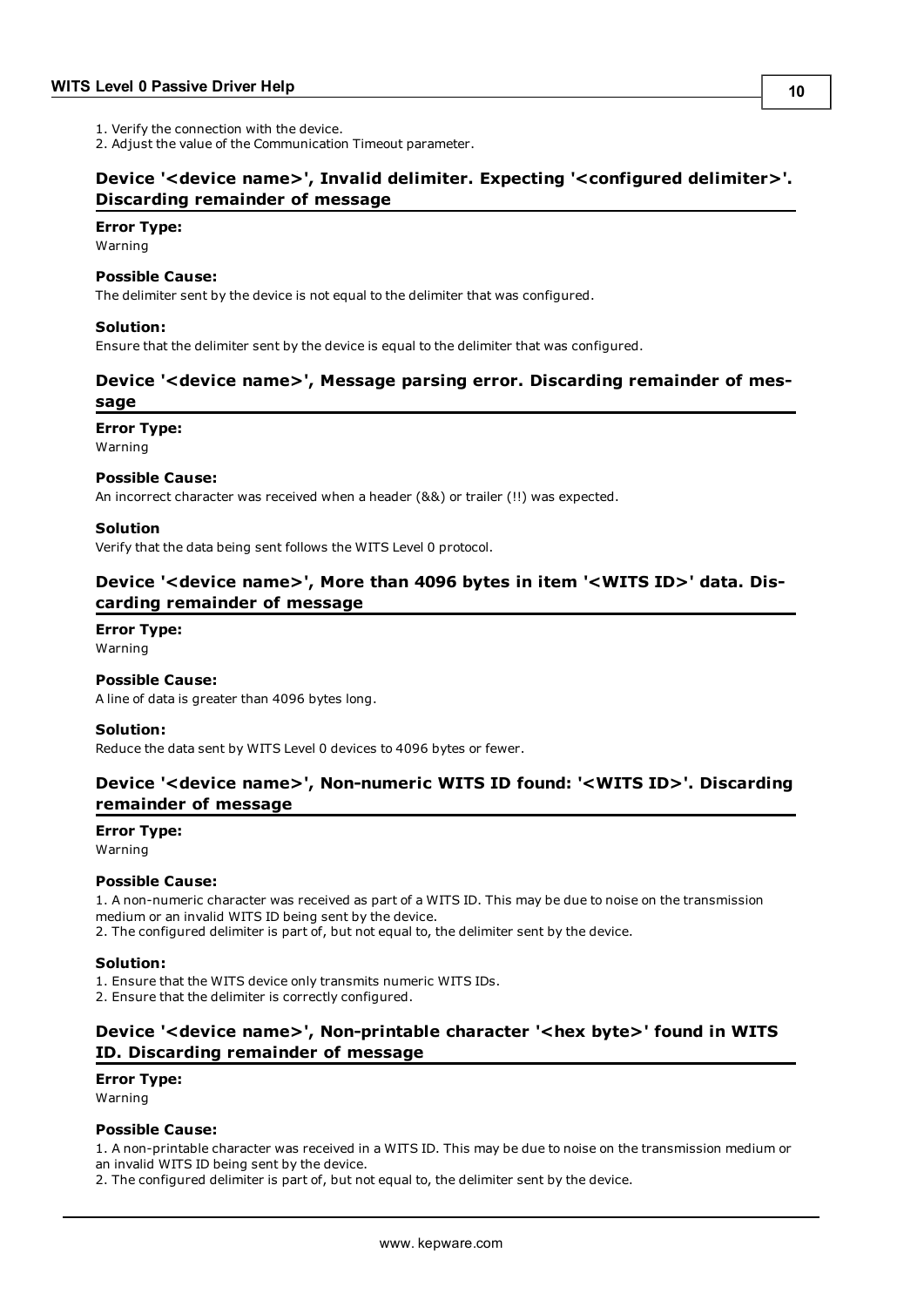1. Verify the connection with the device.

<span id="page-9-0"></span>2. Adjust the value of the Communication Timeout parameter.

# **Device '<device name>', Invalid delimiter. Expecting '<configured delimiter>'. Discarding remainder of message**

#### **Error Type:**

Warning

#### **Possible Cause:**

The delimiter sent by the device is not equal to the delimiter that was configured.

#### **Solution:**

<span id="page-9-1"></span>Ensure that the delimiter sent by the device is equal to the delimiter that was configured.

# **Device '<device name>', Message parsing error. Discarding remainder of message**

#### **Error Type:**

Warning

#### **Possible Cause:**

An incorrect character was received when a header (&&) or trailer (!!) was expected.

#### **Solution**

<span id="page-9-2"></span>Verify that the data being sent follows the WITS Level 0 protocol.

# **Device '<device name>', More than 4096 bytes in item '<WITS ID>' data. Discarding remainder of message**

**Error Type:**

Warning

### **Possible Cause:**

A line of data is greater than 4096 bytes long.

#### **Solution:**

<span id="page-9-3"></span>Reduce the data sent by WITS Level 0 devices to 4096 bytes or fewer.

# **Device '<device name>', Non-numeric WITS ID found: '<WITS ID>'. Discarding remainder of message**

#### **Error Type:**

Warning

#### **Possible Cause:**

1. A non-numeric character was received as part of a WITS ID. This may be due to noise on the transmission medium or an invalid WITS ID being sent by the device. 2. The configured delimiter is part of, but not equal to, the delimiter sent by the device.

#### **Solution:**

1. Ensure that the WITS device only transmits numeric WITS IDs.

<span id="page-9-4"></span>2. Ensure that the delimiter is correctly configured.

# **Device '<device name>', Non-printable character '<hex byte>' found in WITS ID. Discarding remainder of message**

# **Error Type:**

Warning

# **Possible Cause:**

1. A non-printable character was received in a WITS ID. This may be due to noise on the transmission medium or an invalid WITS ID being sent by the device.

2. The configured delimiter is part of, but not equal to, the delimiter sent by the device.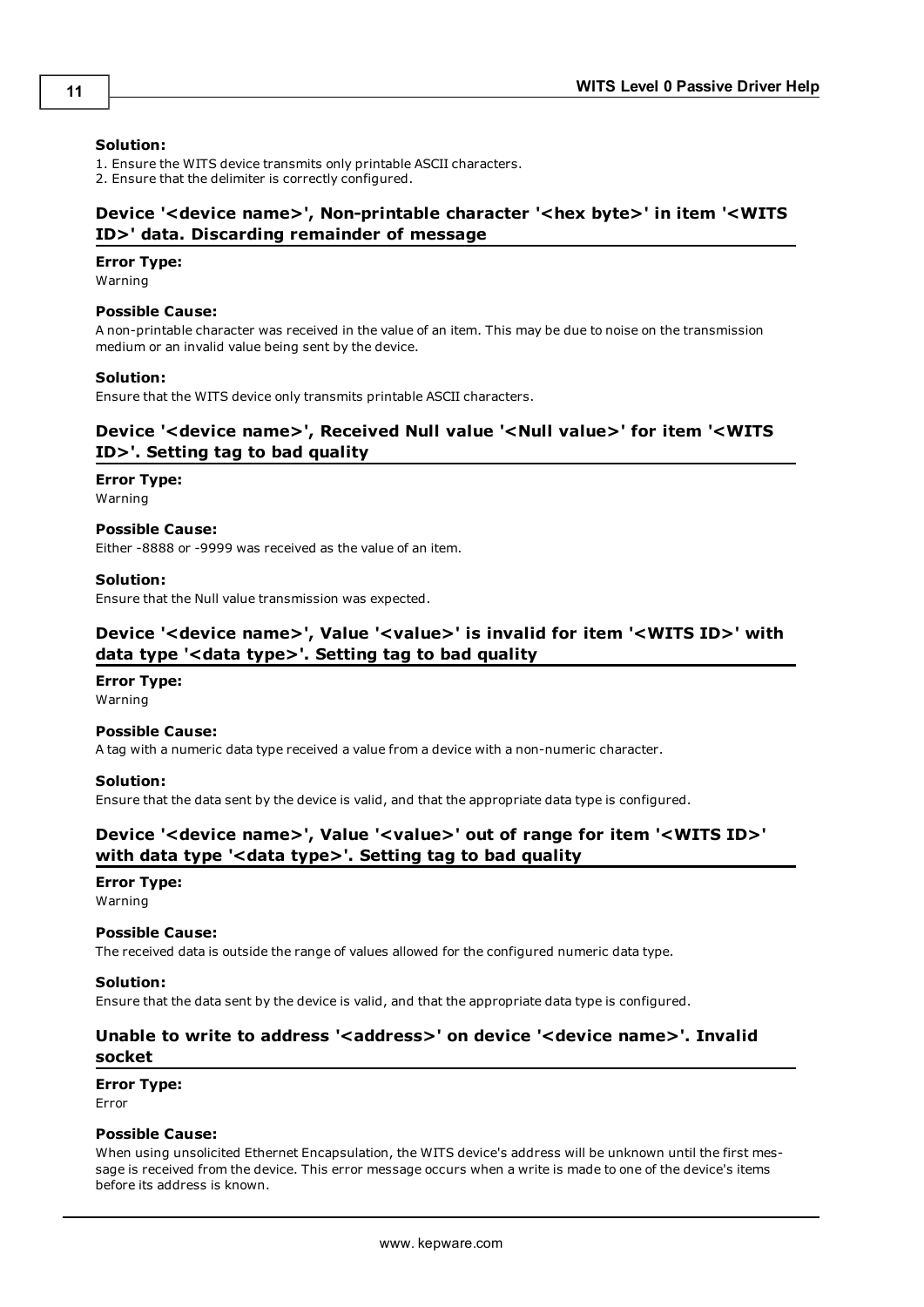#### **Solution:**

1. Ensure the WITS device transmits only printable ASCII characters.

<span id="page-10-0"></span>2. Ensure that the delimiter is correctly configured.

# **Device '<device name>', Non-printable character '<hex byte>' in item '<WITS ID>' data. Discarding remainder of message**

#### **Error Type:**

Warning

#### **Possible Cause:**

A non-printable character was received in the value of an item. This may be due to noise on the transmission medium or an invalid value being sent by the device.

#### **Solution:**

<span id="page-10-1"></span>Ensure that the WITS device only transmits printable ASCII characters.

# **Device '<device name>', Received Null value '<Null value>' for item '<WITS ID>'. Setting tag to bad quality**

## **Error Type:**

Warning

#### **Possible Cause:**

Either -8888 or -9999 was received as the value of an item.

#### **Solution:**

<span id="page-10-2"></span>Ensure that the Null value transmission was expected.

# **Device '<device name>', Value '<value>' is invalid for item '<WITS ID>' with data type '<data type>'. Setting tag to bad quality**

#### **Error Type:**

Warning

#### **Possible Cause:**

A tag with a numeric data type received a value from a device with a non-numeric character.

#### **Solution:**

<span id="page-10-3"></span>Ensure that the data sent by the device is valid, and that the appropriate data type is configured.

# **Device '<device name>', Value '<value>' out of range for item '<WITS ID>' with data type '<data type>'. Setting tag to bad quality**

#### **Error Type:**

Warning

#### **Possible Cause:**

The received data is outside the range of values allowed for the configured numeric data type.

#### **Solution:**

<span id="page-10-4"></span>Ensure that the data sent by the device is valid, and that the appropriate data type is configured.

## Unable to write to address '<address>' on device '<device name>'. Invalid **socket**

#### **Error Type:**

Error

#### **Possible Cause:**

When using unsolicited Ethernet Encapsulation, the WITS device's address will be unknown until the first message is received from the device. This error message occurs when a write is made to one of the device's items before its address is known.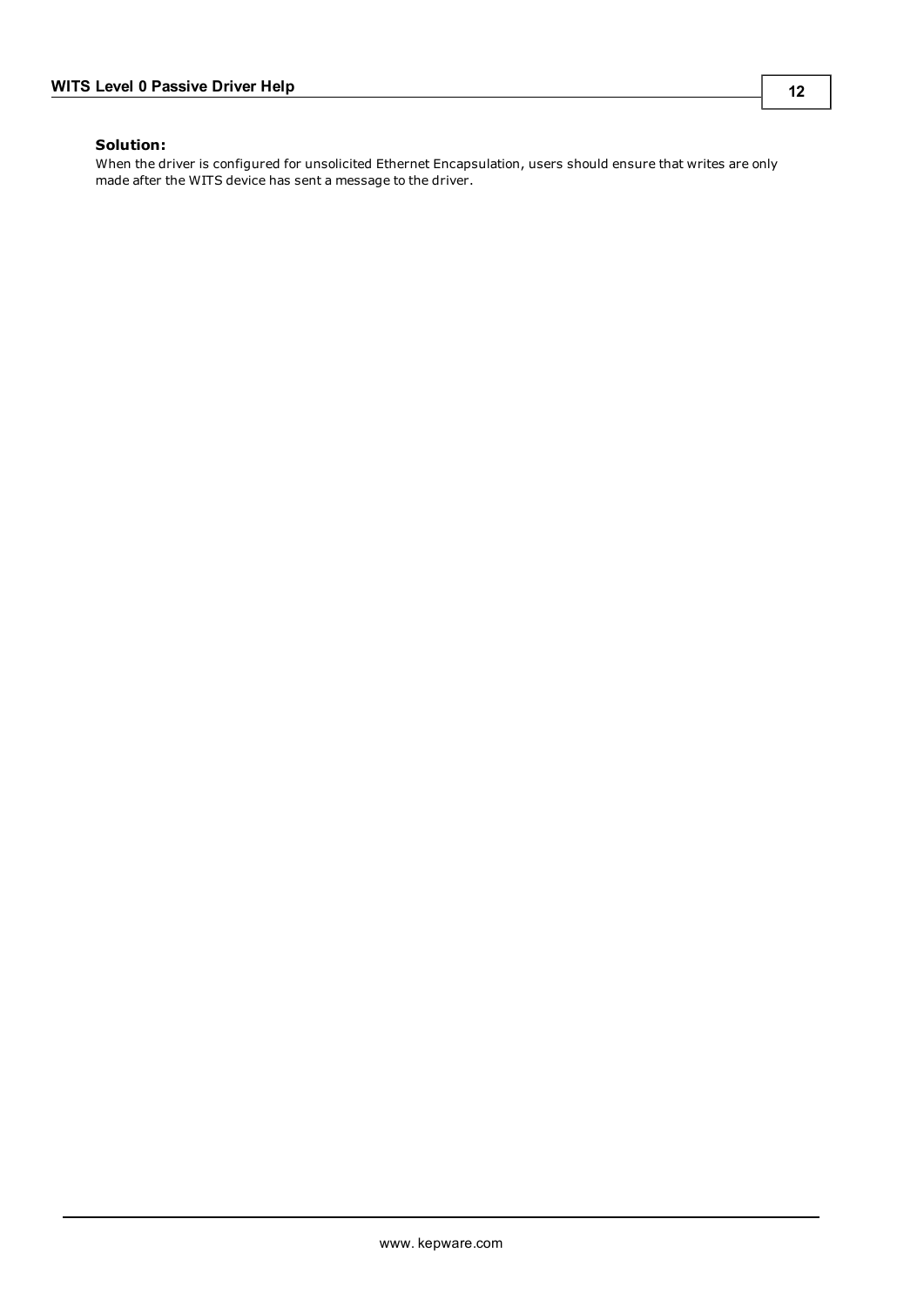# **Solution:**

When the driver is configured for unsolicited Ethernet Encapsulation, users should ensure that writes are only made after the WITS device has sent a message to the driver.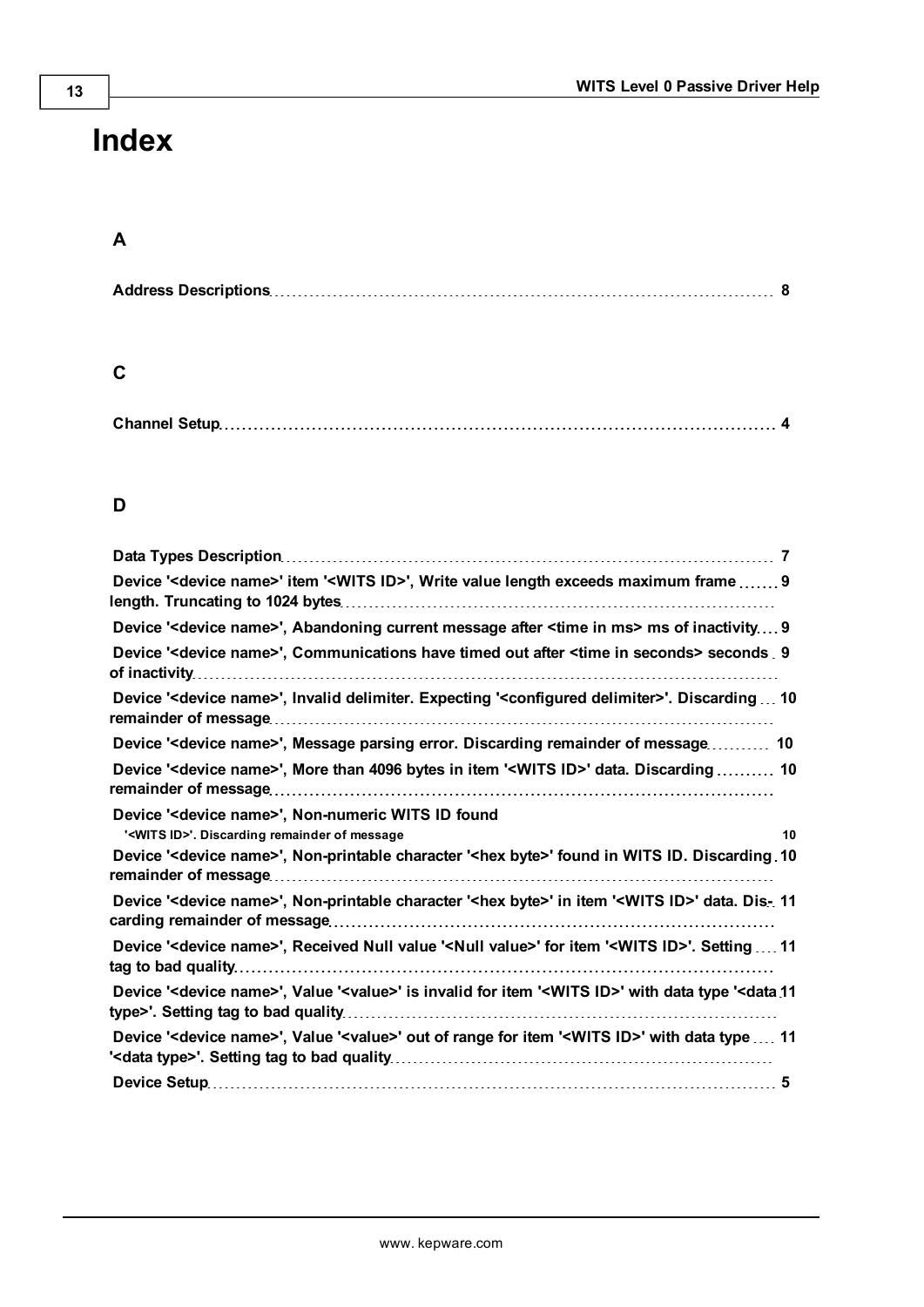# <span id="page-12-0"></span>**Index**

# **A**

|--|--|

# **C**

# **D**

| Device ' <device name="">' item '<wits id="">', Write value length exceeds maximum frame  9</wits></device>                                                |    |
|------------------------------------------------------------------------------------------------------------------------------------------------------------|----|
| Device ' <device name="">', Abandoning current message after <time in="" ms=""> ms of inactivity 9</time></device>                                         |    |
| Device ' <device name="">', Communications have timed out after <time in="" seconds=""> seconds 9</time></device>                                          |    |
| Device ' <device name="">', Invalid delimiter. Expecting '<configured delimiter="">'. Discarding  10</configured></device>                                 |    |
| Device ' <device name="">', Message parsing error. Discarding remainder of message 10</device>                                                             |    |
| Device ' <device name="">', More than 4096 bytes in item '<wits id="">' data. Discarding  10</wits></device>                                               |    |
| Device ' <device name="">', Non-numeric WITS ID found<br/>'<wits id="">'. Discarding remainder of message</wits></device>                                  | 10 |
| Device ' <device name="">', Non-printable character '<hex byte="">' found in WITS ID. Discarding 10</hex></device>                                         |    |
| Device ' <device name="">', Non-printable character '<hex byte="">' in item '<wits id="">' data. Dis- 11</wits></hex></device>                             |    |
| Device ' <device name="">', Received Null value '<null value="">' for item '<wits id="">'. Setting  11</wits></null></device>                              |    |
| Device ' <device name="">', Value '<value>' is invalid for item '<wits id="">' with data type '<data 11<="" td=""><td></td></data></wits></value></device> |    |
| Device ' <device name="">', Value '<value>' out of range for item '<wits id="">' with data type  11</wits></value></device>                                |    |
|                                                                                                                                                            |    |